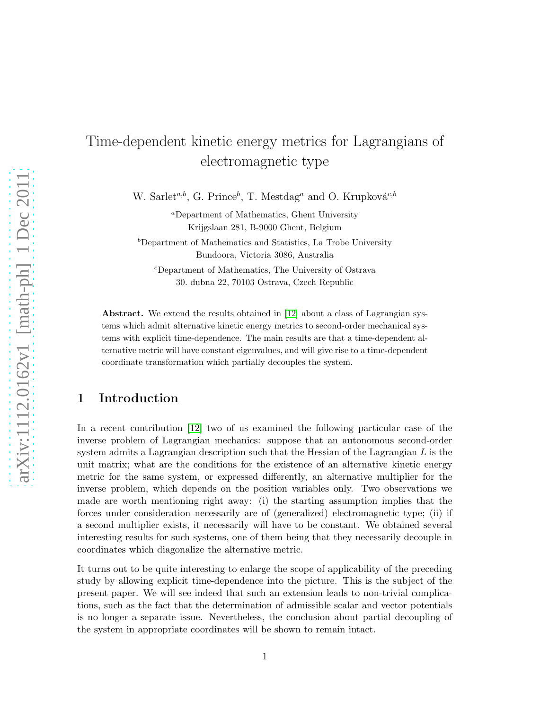# Time-dependent kinetic energy metrics for Lagrangians of electromagnetic type

W. Sarlet<sup>a,b</sup>, G. Prince<sup>b</sup>, T. Mestdag<sup>a</sup> and O. Krupková<sup>c,b</sup>

<sup>a</sup>Department of Mathematics, Ghent University Krijgslaan 281, B-9000 Ghent, Belgium  $b$ Department of Mathematics and Statistics, La Trobe University Bundoora, Victoria 3086, Australia

<sup>c</sup>Department of Mathematics, The University of Ostrava 30. dubna 22, 70103 Ostrava, Czech Republic

Abstract. We extend the results obtained in [\[12\]](#page-15-0) about a class of Lagrangian systems which admit alternative kinetic energy metrics to second-order mechanical systems with explicit time-dependence. The main results are that a time-dependent alternative metric will have constant eigenvalues, and will give rise to a time-dependent coordinate transformation which partially decouples the system.

## 1 Introduction

In a recent contribution [\[12\]](#page-15-0) two of us examined the following particular case of the inverse problem of Lagrangian mechanics: suppose that an autonomous second-order system admits a Lagrangian description such that the Hessian of the Lagrangian  $L$  is the unit matrix; what are the conditions for the existence of an alternative kinetic energy metric for the same system, or expressed differently, an alternative multiplier for the inverse problem, which depends on the position variables only. Two observations we made are worth mentioning right away: (i) the starting assumption implies that the forces under consideration necessarily are of (generalized) electromagnetic type; (ii) if a second multiplier exists, it necessarily will have to be constant. We obtained several interesting results for such systems, one of them being that they necessarily decouple in coordinates which diagonalize the alternative metric.

It turns out to be quite interesting to enlarge the scope of applicability of the preceding study by allowing explicit time-dependence into the picture. This is the subject of the present paper. We will see indeed that such an extension leads to non-trivial complications, such as the fact that the determination of admissible scalar and vector potentials is no longer a separate issue. Nevertheless, the conclusion about partial decoupling of the system in appropriate coordinates will be shown to remain intact.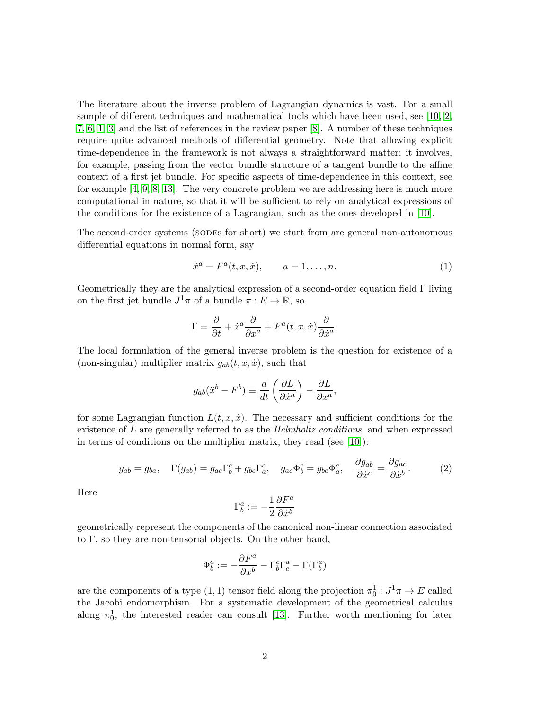The literature about the inverse problem of Lagrangian dynamics is vast. For a small sample of different techniques and mathematical tools which have been used, see [\[10,](#page-15-1) [2,](#page-15-2) [7,](#page-15-3) [6,](#page-15-4) [1,](#page-15-5) [3\]](#page-15-6) and the list of references in the review paper [\[8\]](#page-15-7). A number of these techniques require quite advanced methods of differential geometry. Note that allowing explicit time-dependence in the framework is not always a straightforward matter; it involves, for example, passing from the vector bundle structure of a tangent bundle to the affine context of a first jet bundle. For specific aspects of time-dependence in this context, see for example [\[4,](#page-15-8) [9,](#page-15-9) [8,](#page-15-7) [13\]](#page-16-0). The very concrete problem we are addressing here is much more computational in nature, so that it will be sufficient to rely on analytical expressions of the conditions for the existence of a Lagrangian, such as the ones developed in [\[10\]](#page-15-1).

The second-order systems (sodes for short) we start from are general non-autonomous differential equations in normal form, say

$$
\ddot{x}^a = F^a(t, x, \dot{x}), \qquad a = 1, \dots, n. \tag{1}
$$

Geometrically they are the analytical expression of a second-order equation field Γ living on the first jet bundle  $J^1\pi$  of a bundle  $\pi: E \to \mathbb{R}$ , so

$$
\Gamma = \frac{\partial}{\partial t} + \dot{x}^a \frac{\partial}{\partial x^a} + F^a(t, x, \dot{x}) \frac{\partial}{\partial \dot{x}^a}.
$$

The local formulation of the general inverse problem is the question for existence of a (non-singular) multiplier matrix  $g_{ab}(t, x, \dot{x})$ , such that

$$
g_{ab}(\ddot{x}^b - F^b) \equiv \frac{d}{dt} \left( \frac{\partial L}{\partial \dot{x}^a} \right) - \frac{\partial L}{\partial x^a},
$$

for some Lagrangian function  $L(t, x, \dot{x})$ . The necessary and sufficient conditions for the existence of L are generally referred to as the *Helmholtz conditions*, and when expressed in terms of conditions on the multiplier matrix, they read (see [\[10\]](#page-15-1)):

$$
g_{ab} = g_{ba}, \quad \Gamma(g_{ab}) = g_{ac}\Gamma^c_b + g_{bc}\Gamma^c_a, \quad g_{ac}\Phi^c_b = g_{bc}\Phi^c_a, \quad \frac{\partial g_{ab}}{\partial \dot{x}^c} = \frac{\partial g_{ac}}{\partial \dot{x}^b}.
$$
 (2)

Here

$$
\Gamma^a_b:=-\frac{1}{2}\frac{\partial F^a}{\partial \dot{x}^b}
$$

geometrically represent the components of the canonical non-linear connection associated to Γ, so they are non-tensorial objects. On the other hand,

$$
\Phi^a_b:=-\frac{\partial F^a}{\partial x^b}-\Gamma^c_b\Gamma^a_c-\Gamma(\Gamma^a_b)
$$

are the components of a type  $(1,1)$  tensor field along the projection  $\pi_0^1: J^1\pi \to E$  called the Jacobi endomorphism. For a systematic development of the geometrical calculus along  $\pi_0^1$ , the interested reader can consult [\[13\]](#page-16-0). Further worth mentioning for later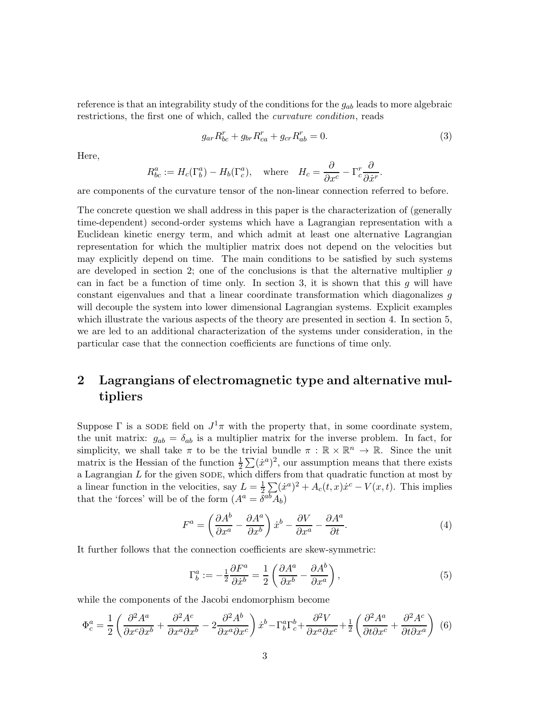reference is that an integrability study of the conditions for the  $g_{ab}$  leads to more algebraic restrictions, the first one of which, called the curvature condition, reads

<span id="page-2-0"></span>
$$
g_{ar}R_{bc}^r + g_{br}R_{ca}^r + g_{cr}R_{ab}^r = 0.
$$
\n(3)

Here,

$$
R_{bc}^a := H_c(\Gamma_b^a) - H_b(\Gamma_c^a), \quad \text{where} \quad H_c = \frac{\partial}{\partial x^c} - \Gamma_c^r \frac{\partial}{\partial \dot{x}^r}.
$$

are components of the curvature tensor of the non-linear connection referred to before.

The concrete question we shall address in this paper is the characterization of (generally time-dependent) second-order systems which have a Lagrangian representation with a Euclidean kinetic energy term, and which admit at least one alternative Lagrangian representation for which the multiplier matrix does not depend on the velocities but may explicitly depend on time. The main conditions to be satisfied by such systems are developed in section 2; one of the conclusions is that the alternative multiplier  $g$ can in fact be a function of time only. In section 3, it is shown that this  $g$  will have constant eigenvalues and that a linear coordinate transformation which diagonalizes g will decouple the system into lower dimensional Lagrangian systems. Explicit examples which illustrate the various aspects of the theory are presented in section 4. In section 5, we are led to an additional characterization of the systems under consideration, in the particular case that the connection coefficients are functions of time only.

## 2 Lagrangians of electromagnetic type and alternative multipliers

Suppose  $\Gamma$  is a SODE field on  $J^1\pi$  with the property that, in some coordinate system, the unit matrix:  $g_{ab} = \delta_{ab}$  is a multiplier matrix for the inverse problem. In fact, for simplicity, we shall take  $\pi$  to be the trivial bundle  $\pi : \mathbb{R} \times \mathbb{R}^n \to \mathbb{R}$ . Since the unit matrix is the Hessian of the function  $\frac{1}{2}\sum (\dot{x}^a)^2$ , our assumption means that there exists a Lagrangian  $L$  for the given SODE, which differs from that quadratic function at most by a linear function in the velocities, say  $L=\frac{1}{2}$  $\frac{1}{2}\sum_{i} (\dot{x}^a)^2 + A_c(t, x)\dot{x}^c - V(x, t)$ . This implies that the 'forces' will be of the form  $(A^a = \overline{\delta}^{ab} A_b)$ 

<span id="page-2-1"></span>
$$
F^{a} = \left(\frac{\partial A^{b}}{\partial x^{a}} - \frac{\partial A^{a}}{\partial x^{b}}\right) \dot{x}^{b} - \frac{\partial V}{\partial x^{a}} - \frac{\partial A^{a}}{\partial t}.
$$
\n(4)

It further follows that the connection coefficients are skew-symmetric:

$$
\Gamma_b^a := -\frac{1}{2} \frac{\partial F^a}{\partial \dot{x}^b} = \frac{1}{2} \left( \frac{\partial A^a}{\partial x^b} - \frac{\partial A^b}{\partial x^a} \right),\tag{5}
$$

while the components of the Jacobi endomorphism become

<span id="page-2-2"></span>
$$
\Phi_c^a = \frac{1}{2} \left( \frac{\partial^2 A^a}{\partial x^c \partial x^b} + \frac{\partial^2 A^c}{\partial x^a \partial x^b} - 2 \frac{\partial^2 A^b}{\partial x^a \partial x^c} \right) \dot{x}^b - \Gamma_b^a \Gamma_c^b + \frac{\partial^2 V}{\partial x^a \partial x^c} + \frac{1}{2} \left( \frac{\partial^2 A^a}{\partial t \partial x^c} + \frac{\partial^2 A^c}{\partial t \partial x^a} \right) (6)
$$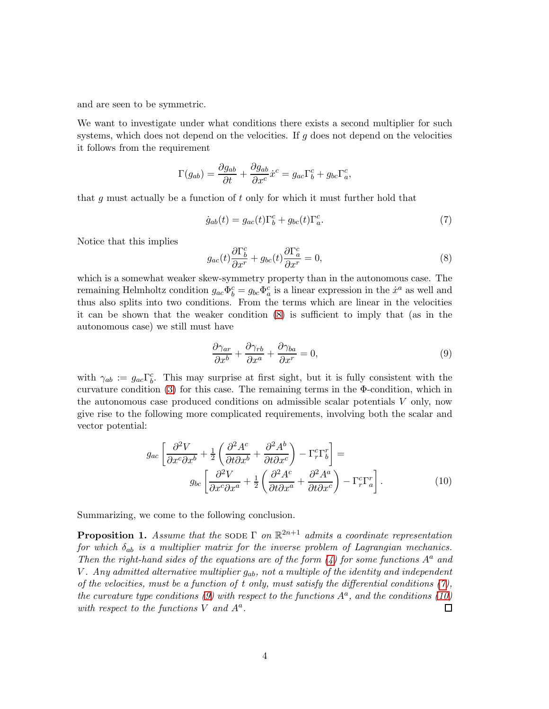and are seen to be symmetric.

We want to investigate under what conditions there exists a second multiplier for such systems, which does not depend on the velocities. If  $g$  does not depend on the velocities it follows from the requirement

$$
\Gamma(g_{ab}) = \frac{\partial g_{ab}}{\partial t} + \frac{\partial g_{ab}}{\partial x^c} \dot{x}^c = g_{ac} \Gamma^c_b + g_{bc} \Gamma^c_a,
$$

that g must actually be a function of t only for which it must further hold that

<span id="page-3-1"></span>
$$
\dot{g}_{ab}(t) = g_{ac}(t)\Gamma_b^c + g_{bc}(t)\Gamma_a^c.
$$
\n(7)

Notice that this implies

<span id="page-3-0"></span>
$$
g_{ac}(t)\frac{\partial \Gamma_b^c}{\partial x^r} + g_{bc}(t)\frac{\partial \Gamma_a^c}{\partial x^r} = 0,
$$
\n(8)

which is a somewhat weaker skew-symmetry property than in the autonomous case. The remaining Helmholtz condition  $g_{ac} \Phi_b^c = g_{bc} \Phi_a^c$  is a linear expression in the  $\dot{x}^a$  as well and thus also splits into two conditions. From the terms which are linear in the velocities it can be shown that the weaker condition [\(8\)](#page-3-0) is sufficient to imply that (as in the autonomous case) we still must have

<span id="page-3-2"></span>
$$
\frac{\partial \gamma_{ar}}{\partial x^b} + \frac{\partial \gamma_{rb}}{\partial x^a} + \frac{\partial \gamma_{ba}}{\partial x^r} = 0,
$$
\n(9)

with  $\gamma_{ab} := g_{ac} \Gamma^c_b$ . This may surprise at first sight, but it is fully consistent with the curvature condition  $(3)$  for this case. The remaining terms in the  $\Phi$ -condition, which in the autonomous case produced conditions on admissible scalar potentials V only, now give rise to the following more complicated requirements, involving both the scalar and vector potential:

<span id="page-3-3"></span>
$$
g_{ac} \left[ \frac{\partial^2 V}{\partial x^c \partial x^b} + \frac{1}{2} \left( \frac{\partial^2 A^c}{\partial t \partial x^b} + \frac{\partial^2 A^b}{\partial t \partial x^c} \right) - \Gamma^c_r \Gamma^r_b \right] =
$$
  
\n
$$
g_{bc} \left[ \frac{\partial^2 V}{\partial x^c \partial x^a} + \frac{1}{2} \left( \frac{\partial^2 A^c}{\partial t \partial x^a} + \frac{\partial^2 A^a}{\partial t \partial x^c} \right) - \Gamma^c_r \Gamma^r_a \right].
$$
 (10)

Summarizing, we come to the following conclusion.

**Proposition 1.** Assume that the SODE  $\Gamma$  on  $\mathbb{R}^{2n+1}$  admits a coordinate representation for which  $\delta_{ab}$  is a multiplier matrix for the inverse problem of Lagrangian mechanics. Then the right-hand sides of the equations are of the form  $(4)$  for some functions  $A^a$  and V. Any admitted alternative multiplier  $g_{ab}$ , not a multiple of the identity and independent of the velocities, must be a function of t only, must satisfy the differential conditions  $(7)$ , the curvature type conditions [\(9\)](#page-3-2) with respect to the functions  $A^a$ , and the conditions [\(10\)](#page-3-3) with respect to the functions  $V$  and  $A^a$ .  $\Box$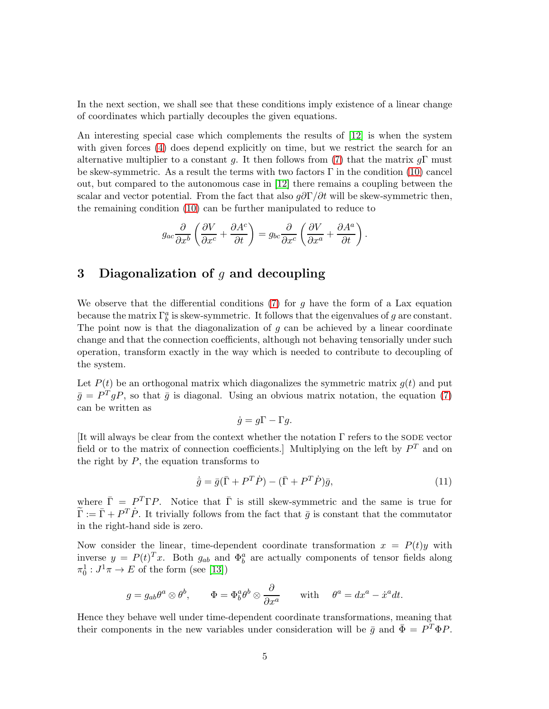In the next section, we shall see that these conditions imply existence of a linear change of coordinates which partially decouples the given equations.

An interesting special case which complements the results of [\[12\]](#page-15-0) is when the system with given forces [\(4\)](#page-2-1) does depend explicitly on time, but we restrict the search for an alternative multiplier to a constant g. It then follows from [\(7\)](#page-3-1) that the matrix  $q\Gamma$  must be skew-symmetric. As a result the terms with two factors  $\Gamma$  in the condition [\(10\)](#page-3-3) cancel out, but compared to the autonomous case in [\[12\]](#page-15-0) there remains a coupling between the scalar and vector potential. From the fact that also  $g\partial\Gamma/\partial t$  will be skew-symmetric then, the remaining condition [\(10\)](#page-3-3) can be further manipulated to reduce to

$$
g_{ac}\frac{\partial}{\partial x^b}\left(\frac{\partial V}{\partial x^c} + \frac{\partial A^c}{\partial t}\right) = g_{bc}\frac{\partial}{\partial x^c}\left(\frac{\partial V}{\partial x^a} + \frac{\partial A^a}{\partial t}\right).
$$

## 3 Diagonalization of  $q$  and decoupling

We observe that the differential conditions [\(7\)](#page-3-1) for g have the form of a Lax equation because the matrix  $\Gamma_b^a$  is skew-symmetric. It follows that the eigenvalues of g are constant. The point now is that the diagonalization of  $g$  can be achieved by a linear coordinate change and that the connection coefficients, although not behaving tensorially under such operation, transform exactly in the way which is needed to contribute to decoupling of the system.

Let  $P(t)$  be an orthogonal matrix which diagonalizes the symmetric matrix  $g(t)$  and put  $\bar{g} = P^T g P$ , so that  $\bar{g}$  is diagonal. Using an obvious matrix notation, the equation [\(7\)](#page-3-1) can be written as

$$
\dot{g} = g\Gamma - \Gamma g.
$$

[It will always be clear from the context whether the notation  $\Gamma$  refers to the SODE vector field or to the matrix of connection coefficients. Multiplying on the left by  $P<sup>T</sup>$  and on the right by  $P$ , the equation transforms to

$$
\dot{\bar{g}} = \bar{g}(\bar{\Gamma} + P^T \dot{P}) - (\bar{\Gamma} + P^T \dot{P})\bar{g},\tag{11}
$$

where  $\bar{\Gamma} = P^T \Gamma P$ . Notice that  $\bar{\Gamma}$  is still skew-symmetric and the same is true for  $\tilde{\Gamma} := \bar{\Gamma} + P^T \dot{P}$ . It trivially follows from the fact that  $\bar{g}$  is constant that the commutator in the right-hand side is zero.

Now consider the linear, time-dependent coordinate transformation  $x = P(t)y$  with inverse  $y = P(t)^T x$ . Both  $g_{ab}$  and  $\Phi_b^a$  are actually components of tensor fields along  $\pi_0^1: J^1\pi \to E$  of the form (see [\[13\]](#page-16-0))

$$
g = g_{ab}\theta^a \otimes \theta^b
$$
,  $\Phi = \Phi^a_b \theta^b \otimes \frac{\partial}{\partial x^a}$  with  $\theta^a = dx^a - \dot{x}^a dt$ .

Hence they behave well under time-dependent coordinate transformations, meaning that their components in the new variables under consideration will be  $\bar{g}$  and  $\bar{\Phi} = P^T \Phi P$ .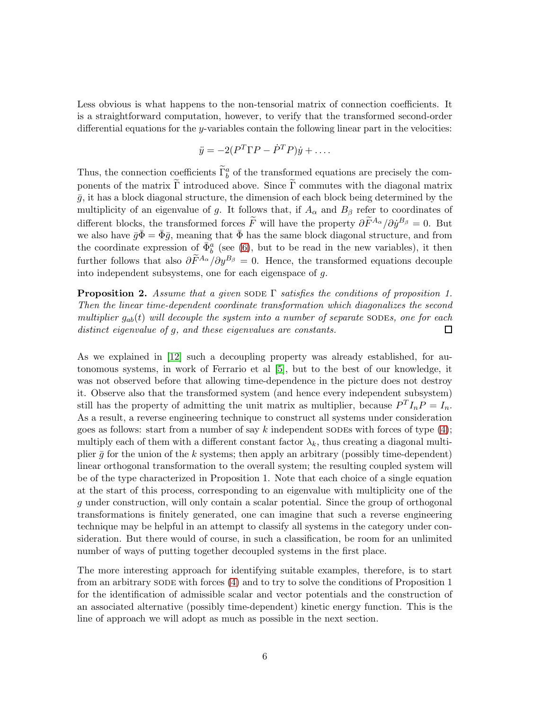Less obvious is what happens to the non-tensorial matrix of connection coefficients. It is a straightforward computation, however, to verify that the transformed second-order differential equations for the y-variables contain the following linear part in the velocities:

$$
\ddot{y} = -2(P^T \Gamma P - \dot{P}^T P)\dot{y} + \dots
$$

Thus, the connection coefficients  $\tilde{\Gamma}^a_b$  of the transformed equations are precisely the components of the matrix  $\Gamma$  introduced above. Since  $\Gamma$  commutes with the diagonal matrix  $\bar{q}$ , it has a block diagonal structure, the dimension of each block being determined by the multiplicity of an eigenvalue of g. It follows that, if  $A_{\alpha}$  and  $B_{\beta}$  refer to coordinates of different blocks, the transformed forces  $\tilde{F}$  will have the property  $\partial \tilde{F}^{A_{\alpha}}/\partial \dot{y}^{B_{\beta}} = 0$ . But we also have  $\bar{g}\bar{\Phi} = \bar{\Phi}\bar{g}$ , meaning that  $\bar{\Phi}$  has the same block diagonal structure, and from the coordinate expression of  $\bar{\Phi}^a_b$  (see [\(6\)](#page-2-2), but to be read in the new variables), it then further follows that also  $\partial \widetilde{F}^{A_{\alpha}}/\partial y^{B_{\beta}} = 0$ . Hence, the transformed equations decouple into independent subsystems, one for each eigenspace of g.

**Proposition 2.** Assume that a given SODE  $\Gamma$  satisfies the conditions of proposition 1. Then the linear time-dependent coordinate transformation which diagonalizes the second multiplier  $g_{ab}(t)$  will decouple the system into a number of separate SODEs, one for each distinct eigenvalue of g, and these eigenvalues are constants. □

As we explained in [\[12\]](#page-15-0) such a decoupling property was already established, for autonomous systems, in work of Ferrario et al [\[5\]](#page-15-10), but to the best of our knowledge, it was not observed before that allowing time-dependence in the picture does not destroy it. Observe also that the transformed system (and hence every independent subsystem) still has the property of admitting the unit matrix as multiplier, because  $P^{T}I_{n}P = I_{n}$ . As a result, a reverse engineering technique to construct all systems under consideration goes as follows: start from a number of say k independent SODEs with forces of type  $(4)$ ; multiply each of them with a different constant factor  $\lambda_k$ , thus creating a diagonal multiplier  $\bar{g}$  for the union of the k systems; then apply an arbitrary (possibly time-dependent) linear orthogonal transformation to the overall system; the resulting coupled system will be of the type characterized in Proposition 1. Note that each choice of a single equation at the start of this process, corresponding to an eigenvalue with multiplicity one of the g under construction, will only contain a scalar potential. Since the group of orthogonal transformations is finitely generated, one can imagine that such a reverse engineering technique may be helpful in an attempt to classify all systems in the category under consideration. But there would of course, in such a classification, be room for an unlimited number of ways of putting together decoupled systems in the first place.

The more interesting approach for identifying suitable examples, therefore, is to start from an arbitrary sode with forces [\(4\)](#page-2-1) and to try to solve the conditions of Proposition 1 for the identification of admissible scalar and vector potentials and the construction of an associated alternative (possibly time-dependent) kinetic energy function. This is the line of approach we will adopt as much as possible in the next section.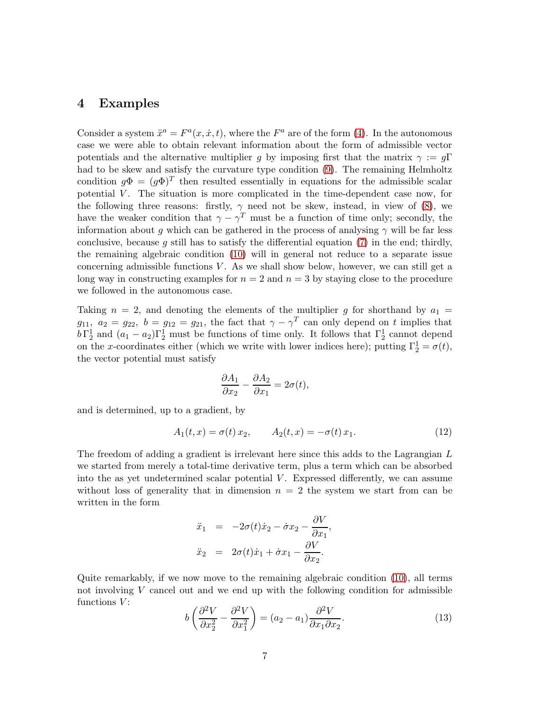#### 4 Examples

Consider a system  $\ddot{x}^a = F^a(x, \dot{x}, t)$ , where the  $F^a$  are of the form [\(4\)](#page-2-1). In the autonomous case we were able to obtain relevant information about the form of admissible vector potentials and the alternative multiplier g by imposing first that the matrix  $\gamma := g\Gamma$ had to be skew and satisfy the curvature type condition [\(9\)](#page-3-2). The remaining Helmholtz condition  $g\Phi = (g\Phi)^T$  then resulted essentially in equations for the admissible scalar potential  $V$ . The situation is more complicated in the time-dependent case now, for the following three reasons: firstly,  $\gamma$  need not be skew, instead, in view of [\(8\)](#page-3-0), we have the weaker condition that  $\gamma - \gamma^T$  must be a function of time only; secondly, the information about g which can be gathered in the process of analysing  $\gamma$  will be far less conclusive, because g still has to satisfy the differential equation  $(7)$  in the end; thirdly, the remaining algebraic condition [\(10\)](#page-3-3) will in general not reduce to a separate issue concerning admissible functions  $V$ . As we shall show below, however, we can still get a long way in constructing examples for  $n = 2$  and  $n = 3$  by staying close to the procedure we followed in the autonomous case.

Taking  $n = 2$ , and denoting the elements of the multiplier g for shorthand by  $a_1 =$  $g_{11}, a_2 = g_{22}, b = g_{12} = g_{21}$ , the fact that  $\gamma - \gamma^T$  can only depend on t implies that  $b\Gamma_2^1$  and  $(a_1 - a_2)\Gamma_2^1$  must be functions of time only. It follows that  $\Gamma_2^1$  cannot depend on the x-coordinates either (which we write with lower indices here); putting  $\Gamma_2^1 = \sigma(t)$ , the vector potential must satisfy

$$
\frac{\partial A_1}{\partial x_2} - \frac{\partial A_2}{\partial x_1} = 2\sigma(t),
$$

and is determined, up to a gradient, by

<span id="page-6-0"></span>
$$
A_1(t,x) = \sigma(t)x_2, \qquad A_2(t,x) = -\sigma(t)x_1.
$$
 (12)

The freedom of adding a gradient is irrelevant here since this adds to the Lagrangian L we started from merely a total-time derivative term, plus a term which can be absorbed into the as yet undetermined scalar potential  $V$ . Expressed differently, we can assume without loss of generality that in dimension  $n = 2$  the system we start from can be written in the form

$$
\ddot{x}_1 = -2\sigma(t)\dot{x}_2 - \dot{\sigma}x_2 - \frac{\partial V}{\partial x_1}
$$
  

$$
\ddot{x}_2 = 2\sigma(t)\dot{x}_1 + \dot{\sigma}x_1 - \frac{\partial V}{\partial x_2}.
$$

Quite remarkably, if we now move to the remaining algebraic condition [\(10\)](#page-3-3), all terms not involving  $V$  cancel out and we end up with the following condition for admissible functions  $V$ :

$$
b\left(\frac{\partial^2 V}{\partial x_2^2} - \frac{\partial^2 V}{\partial x_1^2}\right) = (a_2 - a_1) \frac{\partial^2 V}{\partial x_1 \partial x_2}.
$$
 (13)

,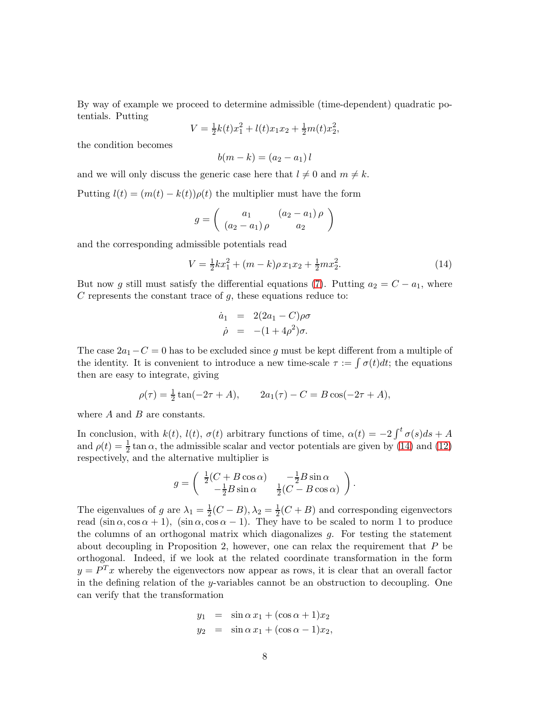By way of example we proceed to determine admissible (time-dependent) quadratic potentials. Putting

$$
V = \frac{1}{2}k(t)x_1^2 + l(t)x_1x_2 + \frac{1}{2}m(t)x_2^2,
$$

the condition becomes

 $b(m - k) = (a_2 - a_1)l$ 

and we will only discuss the generic case here that  $l \neq 0$  and  $m \neq k$ .

Putting  $l(t) = (m(t) - k(t))\rho(t)$  the multiplier must have the form

$$
g = \left(\begin{array}{cc} a_1 & (a_2 - a_1) \rho \\ (a_2 - a_1) \rho & a_2 \end{array}\right)
$$

and the corresponding admissible potentials read

<span id="page-7-0"></span>
$$
V = \frac{1}{2}kx_1^2 + (m - k)\rho x_1x_2 + \frac{1}{2}mx_2^2.
$$
 (14)

But now g still must satisfy the differential equations [\(7\)](#page-3-1). Putting  $a_2 = C - a_1$ , where  $C$  represents the constant trace of  $g$ , these equations reduce to:

$$
\dot{a}_1 = 2(2a_1 - C)\rho\sigma
$$
  

$$
\dot{\rho} = -(1 + 4\rho^2)\sigma.
$$

The case  $2a_1-C=0$  has to be excluded since g must be kept different from a multiple of the identity. It is convenient to introduce a new time-scale  $\tau := \int \sigma(t) dt$ ; the equations then are easy to integrate, giving

$$
\rho(\tau) = \frac{1}{2}\tan(-2\tau + A), \qquad 2a_1(\tau) - C = B\cos(-2\tau + A),
$$

where  $A$  and  $B$  are constants.

In conclusion, with  $k(t)$ ,  $l(t)$ ,  $\sigma(t)$  arbitrary functions of time,  $\alpha(t) = -2 \int_0^t \sigma(s) ds + A$ and  $\rho(t) = \frac{1}{2} \tan \alpha$ , the admissible scalar and vector potentials are given by [\(14\)](#page-7-0) and [\(12\)](#page-6-0) respectively, and the alternative multiplier is

$$
g = \begin{pmatrix} \frac{1}{2}(C + B \cos \alpha) & -\frac{1}{2}B \sin \alpha \\ -\frac{1}{2}B \sin \alpha & \frac{1}{2}(C - B \cos \alpha) \end{pmatrix}.
$$

The eigenvalues of g are  $\lambda_1 = \frac{1}{2}$  $\frac{1}{2}(C-B), \lambda_2 = \frac{1}{2}$  $\frac{1}{2}(C+B)$  and corresponding eigenvectors read  $(\sin \alpha, \cos \alpha + 1)$ ,  $(\sin \alpha, \cos \alpha - 1)$ . They have to be scaled to norm 1 to produce the columns of an orthogonal matrix which diagonalizes g. For testing the statement about decoupling in Proposition 2, however, one can relax the requirement that  $P$  be orthogonal. Indeed, if we look at the related coordinate transformation in the form  $y = P<sup>T</sup>x$  whereby the eigenvectors now appear as rows, it is clear that an overall factor in the defining relation of the y-variables cannot be an obstruction to decoupling. One can verify that the transformation

$$
y_1 = \sin \alpha x_1 + (\cos \alpha + 1)x_2
$$
  

$$
y_2 = \sin \alpha x_1 + (\cos \alpha - 1)x_2,
$$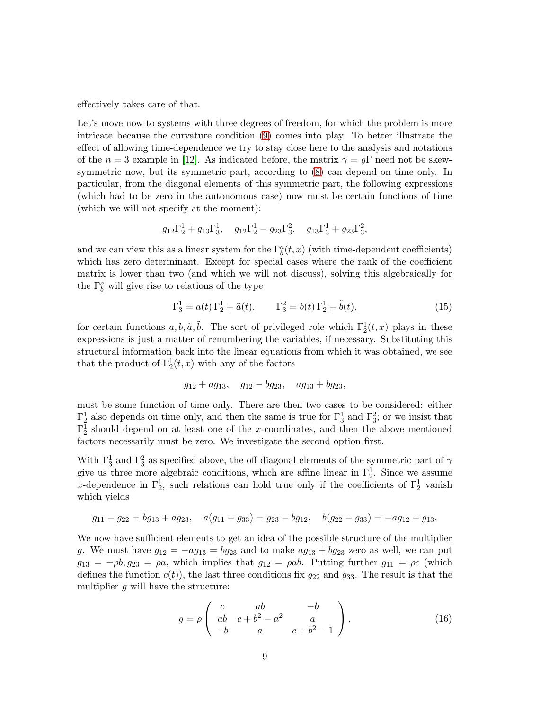effectively takes care of that.

Let's move now to systems with three degrees of freedom, for which the problem is more intricate because the curvature condition [\(9\)](#page-3-2) comes into play. To better illustrate the effect of allowing time-dependence we try to stay close here to the analysis and notations of the  $n = 3$  example in [\[12\]](#page-15-0). As indicated before, the matrix  $\gamma = q\Gamma$  need not be skewsymmetric now, but its symmetric part, according to [\(8\)](#page-3-0) can depend on time only. In particular, from the diagonal elements of this symmetric part, the following expressions (which had to be zero in the autonomous case) now must be certain functions of time (which we will not specify at the moment):

$$
g_{12}\Gamma_2^1 + g_{13}\Gamma_3^1
$$
,  $g_{12}\Gamma_2^1 - g_{23}\Gamma_3^2$ ,  $g_{13}\Gamma_3^1 + g_{23}\Gamma_3^2$ ,

and we can view this as a linear system for the  $\Gamma_b^a(t, x)$  (with time-dependent coefficients) which has zero determinant. Except for special cases where the rank of the coefficient matrix is lower than two (and which we will not discuss), solving this algebraically for the  $\Gamma_b^a$  will give rise to relations of the type

<span id="page-8-1"></span>
$$
\Gamma_3^1 = a(t)\Gamma_2^1 + \tilde{a}(t), \qquad \Gamma_3^2 = b(t)\Gamma_2^1 + \tilde{b}(t), \tag{15}
$$

for certain functions  $a, b, \tilde{a}, \tilde{b}$ . The sort of privileged role which  $\Gamma_2^1(t, x)$  plays in these expressions is just a matter of renumbering the variables, if necessary. Substituting this structural information back into the linear equations from which it was obtained, we see that the product of  $\Gamma_2^1(t, x)$  with any of the factors

$$
g_{12} + ag_{13}, \quad g_{12} - bg_{23}, \quad ag_{13} + bg_{23},
$$

must be some function of time only. There are then two cases to be considered: either  $\Gamma_2^1$  also depends on time only, and then the same is true for  $\Gamma_3^1$  and  $\Gamma_3^2$ ; or we insist that  $\Gamma_2^1$  should depend on at least one of the x-coordinates, and then the above mentioned factors necessarily must be zero. We investigate the second option first.

With  $\Gamma_3^1$  and  $\Gamma_3^2$  as specified above, the off diagonal elements of the symmetric part of  $\gamma$ give us three more algebraic conditions, which are affine linear in  $\Gamma_2^1$ . Since we assume x-dependence in  $\Gamma_2^1$ , such relations can hold true only if the coefficients of  $\Gamma_2^1$  vanish which yields

$$
g_{11} - g_{22} = bg_{13} + ag_{23}, \quad a(g_{11} - g_{33}) = g_{23} - bg_{12}, \quad b(g_{22} - g_{33}) = -ag_{12} - g_{13}.
$$

We now have sufficient elements to get an idea of the possible structure of the multiplier g. We must have  $g_{12} = -ag_{13} = bg_{23}$  and to make  $ag_{13} + bg_{23}$  zero as well, we can put  $g_{13} = -\rho b, g_{23} = \rho a$ , which implies that  $g_{12} = \rho ab$ . Putting further  $g_{11} = \rho c$  (which defines the function  $c(t)$ , the last three conditions fix  $g_{22}$  and  $g_{33}$ . The result is that the multiplier  $q$  will have the structure:

<span id="page-8-0"></span>
$$
g = \rho \begin{pmatrix} c & ab & -b \\ ab & c + b^2 - a^2 & a \\ -b & a & c + b^2 - 1 \end{pmatrix},
$$
 (16)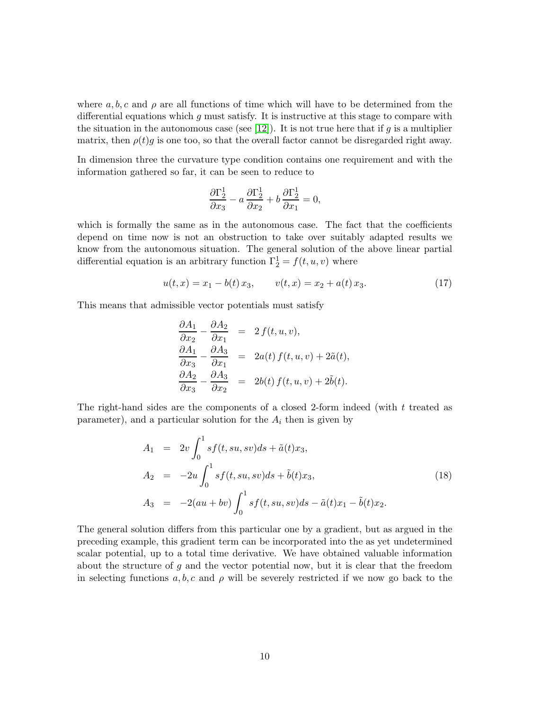where  $a, b, c$  and  $\rho$  are all functions of time which will have to be determined from the differential equations which  $g$  must satisfy. It is instructive at this stage to compare with the situation in the autonomous case (see [\[12\]](#page-15-0)). It is not true here that if g is a multiplier matrix, then  $\rho(t)g$  is one too, so that the overall factor cannot be disregarded right away.

In dimension three the curvature type condition contains one requirement and with the information gathered so far, it can be seen to reduce to

$$
\frac{\partial \Gamma_2^1}{\partial x_3} - a \frac{\partial \Gamma_2^1}{\partial x_2} + b \frac{\partial \Gamma_2^1}{\partial x_1} = 0,
$$

which is formally the same as in the autonomous case. The fact that the coefficients depend on time now is not an obstruction to take over suitably adapted results we know from the autonomous situation. The general solution of the above linear partial differential equation is an arbitrary function  $\Gamma_2^1 = f(t, u, v)$  where

<span id="page-9-1"></span>
$$
u(t,x) = x_1 - b(t)x_3, \qquad v(t,x) = x_2 + a(t)x_3. \tag{17}
$$

This means that admissible vector potentials must satisfy

$$
\frac{\partial A_1}{\partial x_2} - \frac{\partial A_2}{\partial x_1} = 2 f(t, u, v), \n\frac{\partial A_1}{\partial x_3} - \frac{\partial A_3}{\partial x_1} = 2 a(t) f(t, u, v) + 2 \tilde{a}(t), \n\frac{\partial A_2}{\partial x_3} - \frac{\partial A_3}{\partial x_2} = 2 b(t) f(t, u, v) + 2 \tilde{b}(t).
$$

The right-hand sides are the components of a closed 2-form indeed (with t treated as parameter), and a particular solution for the  $A_i$  then is given by

<span id="page-9-0"></span>
$$
A_1 = 2v \int_0^1 s f(t, su, sv) ds + \tilde{a}(t)x_3,
$$
  
\n
$$
A_2 = -2u \int_0^1 s f(t, su, sv) ds + \tilde{b}(t)x_3,
$$
  
\n
$$
A_3 = -2(au + bv) \int_0^1 s f(t, su, sv) ds - \tilde{a}(t)x_1 - \tilde{b}(t)x_2.
$$
\n(18)

The general solution differs from this particular one by a gradient, but as argued in the preceding example, this gradient term can be incorporated into the as yet undetermined scalar potential, up to a total time derivative. We have obtained valuable information about the structure of  $g$  and the vector potential now, but it is clear that the freedom in selecting functions a, b, c and  $\rho$  will be severely restricted if we now go back to the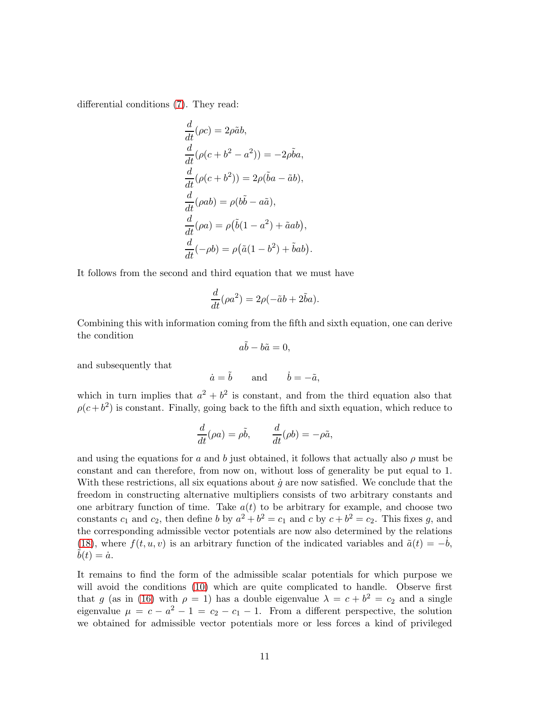differential conditions [\(7\)](#page-3-1). They read:

$$
\frac{d}{dt}(\rho c) = 2\rho \tilde{a}b,
$$
  
\n
$$
\frac{d}{dt}(\rho(c+b^2-a^2)) = -2\rho \tilde{b}a,
$$
  
\n
$$
\frac{d}{dt}(\rho(c+b^2)) = 2\rho(\tilde{b}a - \tilde{a}b),
$$
  
\n
$$
\frac{d}{dt}(\rho ab) = \rho(b\tilde{b} - a\tilde{a}),
$$
  
\n
$$
\frac{d}{dt}(\rho a) = \rho(\tilde{b}(1-a^2) + \tilde{a}ab),
$$
  
\n
$$
\frac{d}{dt}(-\rho b) = \rho(\tilde{a}(1-b^2) + \tilde{b}ab).
$$

It follows from the second and third equation that we must have

$$
\frac{d}{dt}(\rho a^2) = 2\rho(-\tilde{a}b + 2\tilde{b}a).
$$

Combining this with information coming from the fifth and sixth equation, one can derive the condition

$$
a\tilde{b} - b\tilde{a} = 0,
$$

and subsequently that

$$
\dot{a} = \tilde{b}
$$
 and  $\dot{b} = -\tilde{a}$ ,

which in turn implies that  $a^2 + b^2$  is constant, and from the third equation also that  $\rho(c+b^2)$  is constant. Finally, going back to the fifth and sixth equation, which reduce to

$$
\frac{d}{dt}(\rho a) = \rho \tilde{b}, \qquad \frac{d}{dt}(\rho b) = -\rho \tilde{a},
$$

and using the equations for a and b just obtained, it follows that actually also  $\rho$  must be constant and can therefore, from now on, without loss of generality be put equal to 1. With these restrictions, all six equations about  $\dot{g}$  are now satisfied. We conclude that the freedom in constructing alternative multipliers consists of two arbitrary constants and one arbitrary function of time. Take  $a(t)$  to be arbitrary for example, and choose two constants  $c_1$  and  $c_2$ , then define b by  $a^2 + b^2 = c_1$  and c by  $c + b^2 = c_2$ . This fixes g, and the corresponding admissible vector potentials are now also determined by the relations [\(18\)](#page-9-0), where  $f(t, u, v)$  is an arbitrary function of the indicated variables and  $\tilde{a}(t) = -b$ ,  $b(t) = \dot{a}.$ 

It remains to find the form of the admissible scalar potentials for which purpose we will avoid the conditions [\(10\)](#page-3-3) which are quite complicated to handle. Observe first that g (as in [\(16\)](#page-8-0) with  $\rho = 1$ ) has a double eigenvalue  $\lambda = c + b^2 = c_2$  and a single eigenvalue  $\mu = c - a^2 - 1 = c_2 - c_1 - 1$ . From a different perspective, the solution we obtained for admissible vector potentials more or less forces a kind of privileged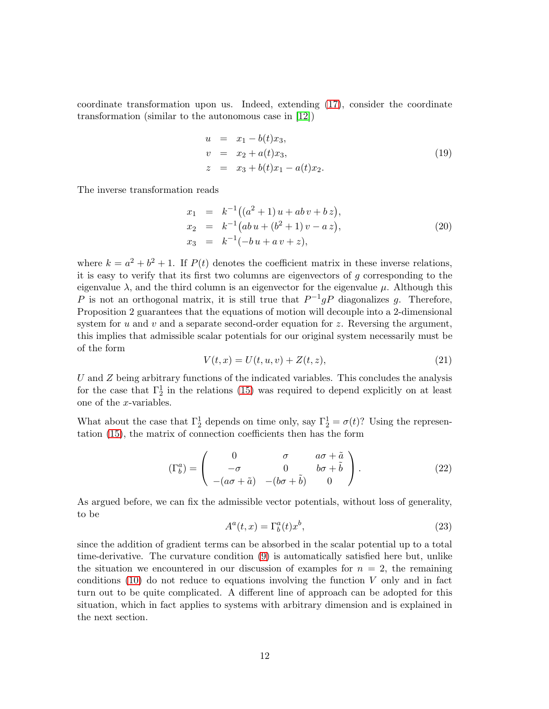coordinate transformation upon us. Indeed, extending [\(17\)](#page-9-1), consider the coordinate transformation (similar to the autonomous case in [\[12\]](#page-15-0))

$$
u = x_1 - b(t)x_3,
$$
  
\n
$$
v = x_2 + a(t)x_3,
$$
  
\n
$$
z = x_3 + b(t)x_1 - a(t)x_2.
$$
\n(19)

The inverse transformation reads

$$
x_1 = k^{-1}((a^2 + 1)u + ab v + bz),
$$
  
\n
$$
x_2 = k^{-1}(abu + (b^2 + 1)v - az),
$$
  
\n
$$
x_3 = k^{-1}(-bu + av + z),
$$
\n(20)

where  $k = a^2 + b^2 + 1$ . If  $P(t)$  denotes the coefficient matrix in these inverse relations, it is easy to verify that its first two columns are eigenvectors of  $g$  corresponding to the eigenvalue  $\lambda$ , and the third column is an eigenvector for the eigenvalue  $\mu$ . Although this P is not an orthogonal matrix, it is still true that  $P^{-1}gP$  diagonalizes g. Therefore, Proposition 2 guarantees that the equations of motion will decouple into a 2-dimensional system for  $u$  and  $v$  and a separate second-order equation for  $z$ . Reversing the argument, this implies that admissible scalar potentials for our original system necessarily must be of the form

$$
V(t, x) = U(t, u, v) + Z(t, z),
$$
\n(21)

 $U$  and  $Z$  being arbitrary functions of the indicated variables. This concludes the analysis for the case that  $\Gamma_2^1$  in the relations [\(15\)](#page-8-1) was required to depend explicitly on at least one of the x-variables.

What about the case that  $\Gamma_2^1$  depends on time only, say  $\Gamma_2^1 = \sigma(t)$ ? Using the representation [\(15\)](#page-8-1), the matrix of connection coefficients then has the form

$$
\left(\Gamma_b^a\right) = \begin{pmatrix} 0 & \sigma & a\sigma + \tilde{a} \\ -\sigma & 0 & b\sigma + \tilde{b} \\ -(a\sigma + \tilde{a}) & -(b\sigma + \tilde{b}) & 0 \end{pmatrix}.
$$
 (22)

As argued before, we can fix the admissible vector potentials, without loss of generality, to be

$$
A^{a}(t,x) = \Gamma^{a}_{b}(t)x^{b}, \qquad (23)
$$

since the addition of gradient terms can be absorbed in the scalar potential up to a total time-derivative. The curvature condition [\(9\)](#page-3-2) is automatically satisfied here but, unlike the situation we encountered in our discussion of examples for  $n = 2$ , the remaining conditions  $(10)$  do not reduce to equations involving the function V only and in fact turn out to be quite complicated. A different line of approach can be adopted for this situation, which in fact applies to systems with arbitrary dimension and is explained in the next section.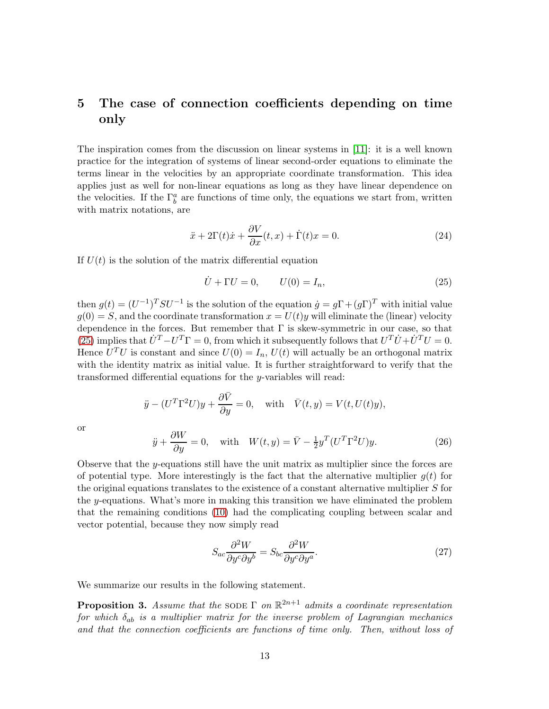## 5 The case of connection coefficients depending on time only

The inspiration comes from the discussion on linear systems in [\[11\]](#page-15-11): it is a well known practice for the integration of systems of linear second-order equations to eliminate the terms linear in the velocities by an appropriate coordinate transformation. This idea applies just as well for non-linear equations as long as they have linear dependence on the velocities. If the  $\Gamma_b^a$  are functions of time only, the equations we start from, written with matrix notations, are

$$
\ddot{x} + 2\Gamma(t)\dot{x} + \frac{\partial V}{\partial x}(t, x) + \dot{\Gamma}(t)x = 0.
$$
\n(24)

If  $U(t)$  is the solution of the matrix differential equation

<span id="page-12-0"></span>
$$
\dot{U} + \Gamma U = 0, \qquad U(0) = I_n,\tag{25}
$$

then  $g(t) = (U^{-1})^T SU^{-1}$  is the solution of the equation  $\dot{g} = g\Gamma + (g\Gamma)^T$  with initial value  $q(0) = S$ , and the coordinate transformation  $x = U(t)y$  will eliminate the (linear) velocity dependence in the forces. But remember that  $\Gamma$  is skew-symmetric in our case, so that [\(25\)](#page-12-0) implies that  $\dot{U}^T - U^T \Gamma = 0$ , from which it subsequently follows that  $U^T \dot{U} + \dot{U}^T U = 0$ . Hence  $U^T U$  is constant and since  $U(0) = I_n$ ,  $U(t)$  will actually be an orthogonal matrix with the identity matrix as initial value. It is further straightforward to verify that the transformed differential equations for the y-variables will read:

$$
\ddot{y} - (U^T \Gamma^2 U) y + \frac{\partial \bar{V}}{\partial y} = 0, \text{ with } \bar{V}(t, y) = V(t, U(t)y),
$$

or

<span id="page-12-2"></span>
$$
\ddot{y} + \frac{\partial W}{\partial y} = 0, \quad \text{with} \quad W(t, y) = \bar{V} - \frac{1}{2}y^T (U^T \Gamma^2 U) y. \tag{26}
$$

Observe that the y-equations still have the unit matrix as multiplier since the forces are of potential type. More interestingly is the fact that the alternative multiplier  $g(t)$  for the original equations translates to the existence of a constant alternative multiplier S for the y-equations. What's more in making this transition we have eliminated the problem that the remaining conditions [\(10\)](#page-3-3) had the complicating coupling between scalar and vector potential, because they now simply read

<span id="page-12-1"></span>
$$
S_{ac}\frac{\partial^2 W}{\partial y^c \partial y^b} = S_{bc}\frac{\partial^2 W}{\partial y^c \partial y^a}.
$$
\n(27)

We summarize our results in the following statement.

**Proposition 3.** Assume that the SODE  $\Gamma$  on  $\mathbb{R}^{2n+1}$  admits a coordinate representation for which  $\delta_{ab}$  is a multiplier matrix for the inverse problem of Lagrangian mechanics and that the connection coefficients are functions of time only. Then, without loss of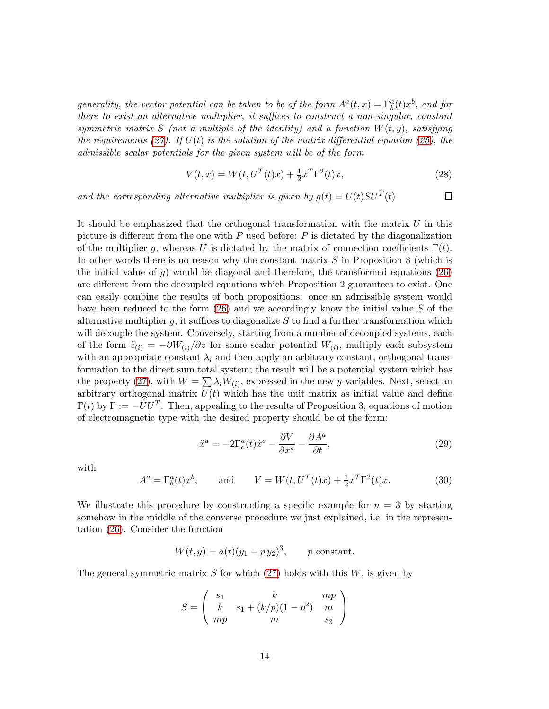generality, the vector potential can be taken to be of the form  $A^a(t,x) = \Gamma^a_b(t)x^b$ , and for there to exist an alternative multiplier, it suffices to construct a non-singular, constant symmetric matrix S (not a multiple of the identity) and a function  $W(t, y)$ , satisfying the requirements [\(27\)](#page-12-1). If  $U(t)$  is the solution of the matrix differential equation [\(25\)](#page-12-0), the admissible scalar potentials for the given system will be of the form

$$
V(t,x) = W(t, U^T(t)x) + \frac{1}{2}x^T \Gamma^2(t)x,
$$
\n(28)

 $\Box$ 

and the corresponding alternative multiplier is given by  $g(t) = U(t)SU^{T}(t)$ .

It should be emphasized that the orthogonal transformation with the matrix  $U$  in this picture is different from the one with  $P$  used before:  $P$  is dictated by the diagonalization of the multiplier g, whereas U is dictated by the matrix of connection coefficients  $\Gamma(t)$ . In other words there is no reason why the constant matrix  $S$  in Proposition 3 (which is the initial value of g) would be diagonal and therefore, the transformed equations [\(26\)](#page-12-2) are different from the decoupled equations which Proposition 2 guarantees to exist. One can easily combine the results of both propositions: once an admissible system would have been reduced to the form  $(26)$  and we accordingly know the initial value S of the alternative multiplier g, it suffices to diagonalize  $S$  to find a further transformation which will decouple the system. Conversely, starting from a number of decoupled systems, each of the form  $\ddot{z}_{(i)} = -\partial W_{(i)}/\partial z$  for some scalar potential  $W_{(i)}$ , multiply each subsystem with an appropriate constant  $\lambda_i$  and then apply an arbitrary constant, orthogonal transformation to the direct sum total system; the result will be a potential system which has the property [\(27\)](#page-12-1), with  $W = \sum \lambda_i W_{(i)}$ , expressed in the new y-variables. Next, select an arbitrary orthogonal matrix  $U(t)$  which has the unit matrix as initial value and define  $\Gamma(t)$  by  $\Gamma := -\dot{U}U^T$ . Then, appealing to the results of Proposition 3, equations of motion of electromagnetic type with the desired property should be of the form:

<span id="page-13-0"></span>
$$
\ddot{x}^a = -2\Gamma_c^a(t)\dot{x}^c - \frac{\partial V}{\partial x^a} - \frac{\partial A^a}{\partial t},\tag{29}
$$

with

$$
A^{a} = \Gamma_{b}^{a}(t)x^{b}
$$
, and  $V = W(t, U^{T}(t)x) + \frac{1}{2}x^{T}\Gamma^{2}(t)x$ . (30)

We illustrate this procedure by constructing a specific example for  $n = 3$  by starting somehow in the middle of the converse procedure we just explained, i.e. in the representation [\(26\)](#page-12-2). Consider the function

$$
W(t, y) = a(t)(y_1 - py_2)^3
$$
, p constant.

The general symmetric matrix S for which  $(27)$  holds with this W, is given by

$$
S = \begin{pmatrix} s_1 & k & mp \\ k & s_1 + (k/p)(1-p^2) & m \\ mp & m & s_3 \end{pmatrix}
$$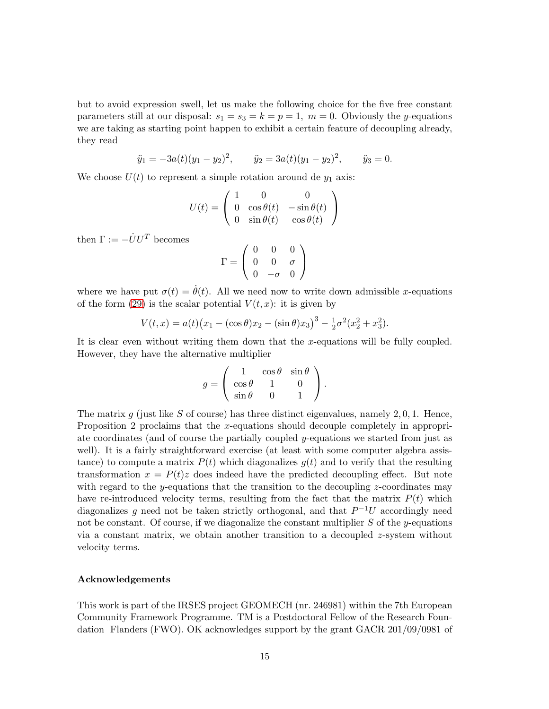but to avoid expression swell, let us make the following choice for the five free constant parameters still at our disposal:  $s_1 = s_3 = k = p = 1$ ,  $m = 0$ . Obviously the y-equations we are taking as starting point happen to exhibit a certain feature of decoupling already, they read

$$
\ddot{y}_1 = -3a(t)(y_1 - y_2)^2
$$
,  $\ddot{y}_2 = 3a(t)(y_1 - y_2)^2$ ,  $\ddot{y}_3 = 0$ .

We choose  $U(t)$  to represent a simple rotation around de  $y_1$  axis:

$$
U(t) = \left(\begin{array}{ccc} 1 & 0 & 0 \\ 0 & \cos\theta(t) & -\sin\theta(t) \\ 0 & \sin\theta(t) & \cos\theta(t) \end{array}\right)
$$

then  $\Gamma:=-\dot{U}U^T$  becomes

$$
\Gamma = \left(\begin{array}{ccc} 0 & 0 & 0 \\ 0 & 0 & \sigma \\ 0 & -\sigma & 0 \end{array}\right)
$$

where we have put  $\sigma(t) = \dot{\theta}(t)$ . All we need now to write down admissible x-equations of the form [\(29\)](#page-13-0) is the scalar potential  $V(t, x)$ : it is given by

$$
V(t,x) = a(t)(x_1 - (\cos \theta)x_2 - (\sin \theta)x_3)^3 - \frac{1}{2}\sigma^2(x_2^2 + x_3^2).
$$

It is clear even without writing them down that the x-equations will be fully coupled. However, they have the alternative multiplier

$$
g = \begin{pmatrix} 1 & \cos \theta & \sin \theta \\ \cos \theta & 1 & 0 \\ \sin \theta & 0 & 1 \end{pmatrix}.
$$

The matrix  $g$  (just like  $S$  of course) has three distinct eigenvalues, namely 2,0,1. Hence, Proposition 2 proclaims that the x-equations should decouple completely in appropriate coordinates (and of course the partially coupled y-equations we started from just as well). It is a fairly straightforward exercise (at least with some computer algebra assistance) to compute a matrix  $P(t)$  which diagonalizes  $q(t)$  and to verify that the resulting transformation  $x = P(t)z$  does indeed have the predicted decoupling effect. But note with regard to the y-equations that the transition to the decoupling z-coordinates may have re-introduced velocity terms, resulting from the fact that the matrix  $P(t)$  which diagonalizes g need not be taken strictly orthogonal, and that  $P^{-1}U$  accordingly need not be constant. Of course, if we diagonalize the constant multiplier  $S$  of the y-equations via a constant matrix, we obtain another transition to a decoupled z-system without velocity terms.

#### Acknowledgements

This work is part of the IRSES project GEOMECH (nr. 246981) within the 7th European Community Framework Programme. TM is a Postdoctoral Fellow of the Research Foundation Flanders (FWO). OK acknowledges support by the grant GACR 201/09/0981 of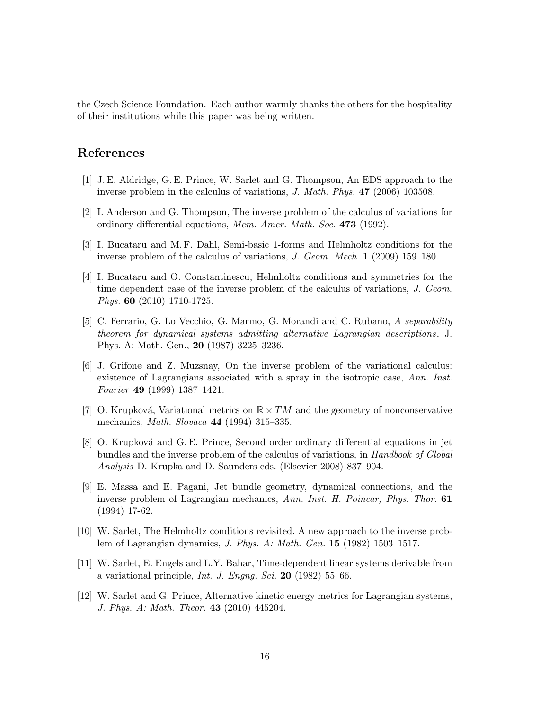the Czech Science Foundation. Each author warmly thanks the others for the hospitality of their institutions while this paper was being written.

### <span id="page-15-5"></span>References

- <span id="page-15-2"></span>[1] J. E. Aldridge, G. E. Prince, W. Sarlet and G. Thompson, An EDS approach to the inverse problem in the calculus of variations, J. Math. Phys. 47 (2006) 103508.
- <span id="page-15-6"></span>[2] I. Anderson and G. Thompson, The inverse problem of the calculus of variations for ordinary differential equations, Mem. Amer. Math. Soc. 473 (1992).
- <span id="page-15-8"></span>[3] I. Bucataru and M. F. Dahl, Semi-basic 1-forms and Helmholtz conditions for the inverse problem of the calculus of variations, J. Geom. Mech. 1 (2009) 159–180.
- [4] I. Bucataru and O. Constantinescu, Helmholtz conditions and symmetries for the time dependent case of the inverse problem of the calculus of variations, J. Geom. Phys. 60 (2010) 1710-1725.
- <span id="page-15-10"></span>[5] C. Ferrario, G. Lo Vecchio, G. Marmo, G. Morandi and C. Rubano, A separability theorem for dynamical systems admitting alternative Lagrangian descriptions, J. Phys. A: Math. Gen., 20 (1987) 3225–3236.
- <span id="page-15-4"></span>[6] J. Grifone and Z. Muzsnay, On the inverse problem of the variational calculus: existence of Lagrangians associated with a spray in the isotropic case, Ann. Inst. Fourier 49 (1999) 1387–1421.
- <span id="page-15-7"></span><span id="page-15-3"></span>[7] O. Krupková, Variational metrics on  $\mathbb{R} \times TM$  and the geometry of nonconservative mechanics, Math. Slovaca 44 (1994) 315–335.
- [8] O. Krupková and G. E. Prince, Second order ordinary differential equations in jet bundles and the inverse problem of the calculus of variations, in Handbook of Global Analysis D. Krupka and D. Saunders eds. (Elsevier 2008) 837–904.
- <span id="page-15-9"></span>[9] E. Massa and E. Pagani, Jet bundle geometry, dynamical connections, and the inverse problem of Lagrangian mechanics, Ann. Inst. H. Poincar, Phys. Thor. 61 (1994) 17-62.
- <span id="page-15-1"></span>[10] W. Sarlet, The Helmholtz conditions revisited. A new approach to the inverse problem of Lagrangian dynamics, J. Phys. A: Math. Gen. 15 (1982) 1503–1517.
- <span id="page-15-11"></span>[11] W. Sarlet, E. Engels and L.Y. Bahar, Time-dependent linear systems derivable from a variational principle, *Int. J. Engng. Sci.* 20 (1982) 55–66.
- <span id="page-15-0"></span>[12] W. Sarlet and G. Prince, Alternative kinetic energy metrics for Lagrangian systems, J. Phys. A: Math. Theor. 43 (2010) 445204.